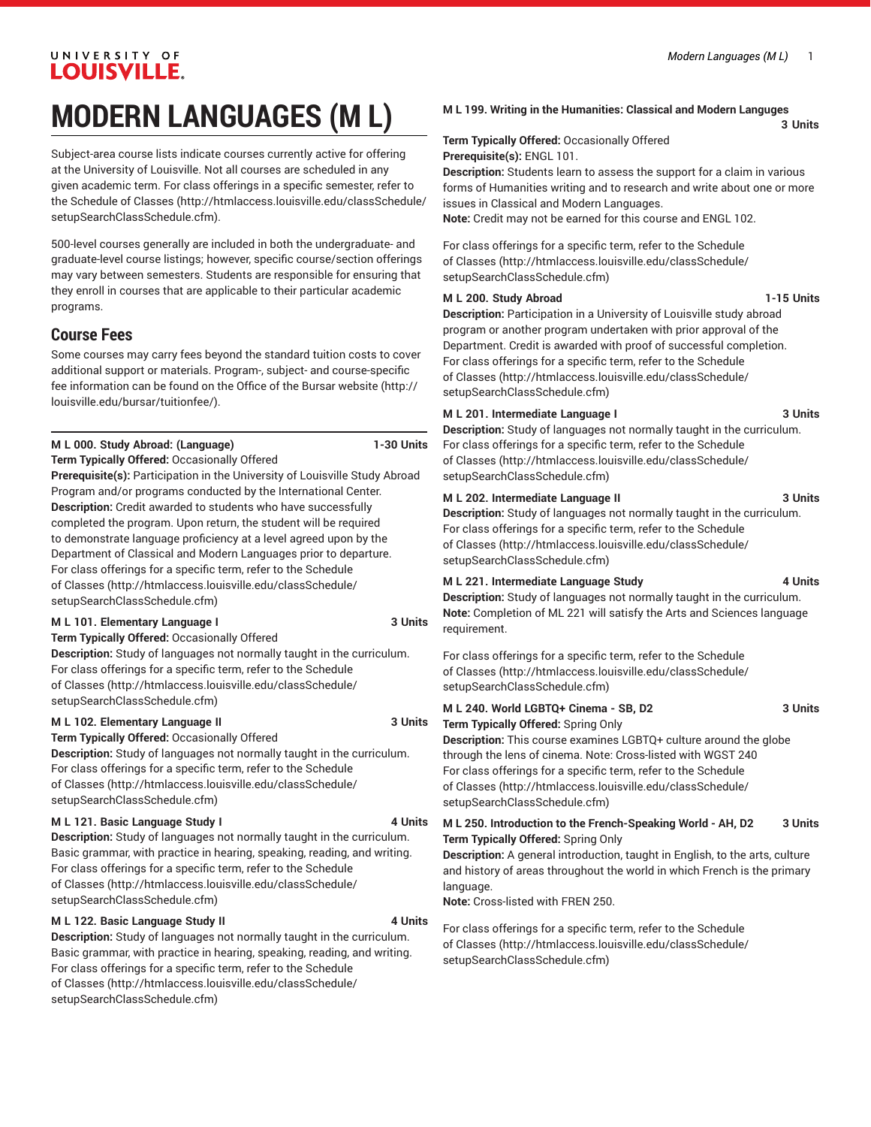# UNIVERSITY OF **LOUISVILLE.**

# **MODERN LANGUAGES (M L)**

Subject-area course lists indicate courses currently active for offering at the University of Louisville. Not all courses are scheduled in any given academic term. For class offerings in a specific semester, refer to the [Schedule of Classes](http://htmlaccess.louisville.edu/classSchedule/setupSearchClassSchedule.cfm) ([http://htmlaccess.louisville.edu/classSchedule/](http://htmlaccess.louisville.edu/classSchedule/setupSearchClassSchedule.cfm) [setupSearchClassSchedule.cfm\)](http://htmlaccess.louisville.edu/classSchedule/setupSearchClassSchedule.cfm).

500-level courses generally are included in both the undergraduate- and graduate-level course listings; however, specific course/section offerings may vary between semesters. Students are responsible for ensuring that they enroll in courses that are applicable to their particular academic programs.

# **Course Fees**

Some courses may carry fees beyond the standard tuition costs to cover additional support or materials. Program-, subject- and course-specific fee information can be found on the [Office of the Bursar website](http://louisville.edu/bursar/tuitionfee/) ([http://](http://louisville.edu/bursar/tuitionfee/) [louisville.edu/bursar/tuitionfee/](http://louisville.edu/bursar/tuitionfee/)).

# **M L 000. Study Abroad: (Language) 1-30 Units**

**Term Typically Offered:** Occasionally Offered

**Prerequisite(s):** Participation in the University of Louisville Study Abroad Program and/or programs conducted by the International Center. **Description:** Credit awarded to students who have successfully completed the program. Upon return, the student will be required to demonstrate language proficiency at a level agreed upon by the Department of Classical and Modern Languages prior to departure. For class offerings for a specific term, refer to the [Schedule](http://htmlaccess.louisville.edu/classSchedule/setupSearchClassSchedule.cfm) [of Classes \(http://htmlaccess.louisville.edu/classSchedule/](http://htmlaccess.louisville.edu/classSchedule/setupSearchClassSchedule.cfm) [setupSearchClassSchedule.cfm\)](http://htmlaccess.louisville.edu/classSchedule/setupSearchClassSchedule.cfm)

# **M L 101. Elementary Language I 3 Units**

**Term Typically Offered:** Occasionally Offered **Description:** Study of languages not normally taught in the curriculum. For class offerings for a specific term, refer to the [Schedule](http://htmlaccess.louisville.edu/classSchedule/setupSearchClassSchedule.cfm) [of Classes \(http://htmlaccess.louisville.edu/classSchedule/](http://htmlaccess.louisville.edu/classSchedule/setupSearchClassSchedule.cfm) [setupSearchClassSchedule.cfm\)](http://htmlaccess.louisville.edu/classSchedule/setupSearchClassSchedule.cfm)

# **M L 102. Elementary Language II 3 Units**

**Term Typically Offered:** Occasionally Offered

**Description:** Study of languages not normally taught in the curriculum. For class offerings for a specific term, refer to the [Schedule](http://htmlaccess.louisville.edu/classSchedule/setupSearchClassSchedule.cfm) [of Classes \(http://htmlaccess.louisville.edu/classSchedule/](http://htmlaccess.louisville.edu/classSchedule/setupSearchClassSchedule.cfm) [setupSearchClassSchedule.cfm\)](http://htmlaccess.louisville.edu/classSchedule/setupSearchClassSchedule.cfm)

# **M L 121. Basic Language Study I 4 Units**

**Description:** Study of languages not normally taught in the curriculum. Basic grammar, with practice in hearing, speaking, reading, and writing. For class offerings for a specific term, refer to the [Schedule](http://htmlaccess.louisville.edu/classSchedule/setupSearchClassSchedule.cfm) [of Classes \(http://htmlaccess.louisville.edu/classSchedule/](http://htmlaccess.louisville.edu/classSchedule/setupSearchClassSchedule.cfm) [setupSearchClassSchedule.cfm\)](http://htmlaccess.louisville.edu/classSchedule/setupSearchClassSchedule.cfm)

# **M L 122. Basic Language Study II 4 Units**

**Description:** Study of languages not normally taught in the curriculum. Basic grammar, with practice in hearing, speaking, reading, and writing. For class offerings for a specific term, refer to the [Schedule](http://htmlaccess.louisville.edu/classSchedule/setupSearchClassSchedule.cfm) [of Classes \(http://htmlaccess.louisville.edu/classSchedule/](http://htmlaccess.louisville.edu/classSchedule/setupSearchClassSchedule.cfm) [setupSearchClassSchedule.cfm\)](http://htmlaccess.louisville.edu/classSchedule/setupSearchClassSchedule.cfm)

# **M L 199. Writing in the Humanities: Classical and Modern Languges**

**3 Units**

**Term Typically Offered:** Occasionally Offered **Prerequisite(s):** ENGL 101.

**Description:** Students learn to assess the support for a claim in various forms of Humanities writing and to research and write about one or more issues in Classical and Modern Languages.

**Note:** Credit may not be earned for this course and ENGL 102.

For class offerings for a specific term, refer to the [Schedule](http://htmlaccess.louisville.edu/classSchedule/setupSearchClassSchedule.cfm) [of Classes](http://htmlaccess.louisville.edu/classSchedule/setupSearchClassSchedule.cfm) ([http://htmlaccess.louisville.edu/classSchedule/](http://htmlaccess.louisville.edu/classSchedule/setupSearchClassSchedule.cfm) [setupSearchClassSchedule.cfm\)](http://htmlaccess.louisville.edu/classSchedule/setupSearchClassSchedule.cfm)

# **M L 200. Study Abroad 1-15 Units**

**Description:** Participation in a University of Louisville study abroad program or another program undertaken with prior approval of the Department. Credit is awarded with proof of successful completion. For class offerings for a specific term, refer to the [Schedule](http://htmlaccess.louisville.edu/classSchedule/setupSearchClassSchedule.cfm) [of Classes](http://htmlaccess.louisville.edu/classSchedule/setupSearchClassSchedule.cfm) ([http://htmlaccess.louisville.edu/classSchedule/](http://htmlaccess.louisville.edu/classSchedule/setupSearchClassSchedule.cfm) [setupSearchClassSchedule.cfm\)](http://htmlaccess.louisville.edu/classSchedule/setupSearchClassSchedule.cfm)

# **M L 201. Intermediate Language I 3 Units**

**Description:** Study of languages not normally taught in the curriculum. For class offerings for a specific term, refer to the [Schedule](http://htmlaccess.louisville.edu/classSchedule/setupSearchClassSchedule.cfm) [of Classes](http://htmlaccess.louisville.edu/classSchedule/setupSearchClassSchedule.cfm) ([http://htmlaccess.louisville.edu/classSchedule/](http://htmlaccess.louisville.edu/classSchedule/setupSearchClassSchedule.cfm) [setupSearchClassSchedule.cfm\)](http://htmlaccess.louisville.edu/classSchedule/setupSearchClassSchedule.cfm)

# **M L 202. Intermediate Language II 3 Units**

**Description:** Study of languages not normally taught in the curriculum. For class offerings for a specific term, refer to the [Schedule](http://htmlaccess.louisville.edu/classSchedule/setupSearchClassSchedule.cfm) [of Classes](http://htmlaccess.louisville.edu/classSchedule/setupSearchClassSchedule.cfm) ([http://htmlaccess.louisville.edu/classSchedule/](http://htmlaccess.louisville.edu/classSchedule/setupSearchClassSchedule.cfm) [setupSearchClassSchedule.cfm\)](http://htmlaccess.louisville.edu/classSchedule/setupSearchClassSchedule.cfm)

# **M L 221. Intermediate Language Study 4 Units**

**Description:** Study of languages not normally taught in the curriculum. **Note:** Completion of ML 221 will satisfy the Arts and Sciences language requirement.

For class offerings for a specific term, refer to the [Schedule](http://htmlaccess.louisville.edu/classSchedule/setupSearchClassSchedule.cfm) [of Classes](http://htmlaccess.louisville.edu/classSchedule/setupSearchClassSchedule.cfm) ([http://htmlaccess.louisville.edu/classSchedule/](http://htmlaccess.louisville.edu/classSchedule/setupSearchClassSchedule.cfm) [setupSearchClassSchedule.cfm\)](http://htmlaccess.louisville.edu/classSchedule/setupSearchClassSchedule.cfm)

### **M L 240. World LGBTQ+ Cinema - SB, D2 3 Units Term Typically Offered:** Spring Only

**Description:** This course examines LGBTQ+ culture around the globe through the lens of cinema. Note: Cross-listed with WGST 240 For class offerings for a specific term, refer to the [Schedule](http://htmlaccess.louisville.edu/classSchedule/setupSearchClassSchedule.cfm) [of Classes](http://htmlaccess.louisville.edu/classSchedule/setupSearchClassSchedule.cfm) ([http://htmlaccess.louisville.edu/classSchedule/](http://htmlaccess.louisville.edu/classSchedule/setupSearchClassSchedule.cfm) [setupSearchClassSchedule.cfm\)](http://htmlaccess.louisville.edu/classSchedule/setupSearchClassSchedule.cfm)

**M L 250. Introduction to the French-Speaking World - AH, D2 3 Units Term Typically Offered:** Spring Only

**Description:** A general introduction, taught in English, to the arts, culture and history of areas throughout the world in which French is the primary language.

**Note:** Cross-listed with FREN 250.

For class offerings for a specific term, refer to the [Schedule](http://htmlaccess.louisville.edu/classSchedule/setupSearchClassSchedule.cfm) [of Classes](http://htmlaccess.louisville.edu/classSchedule/setupSearchClassSchedule.cfm) ([http://htmlaccess.louisville.edu/classSchedule/](http://htmlaccess.louisville.edu/classSchedule/setupSearchClassSchedule.cfm) [setupSearchClassSchedule.cfm\)](http://htmlaccess.louisville.edu/classSchedule/setupSearchClassSchedule.cfm)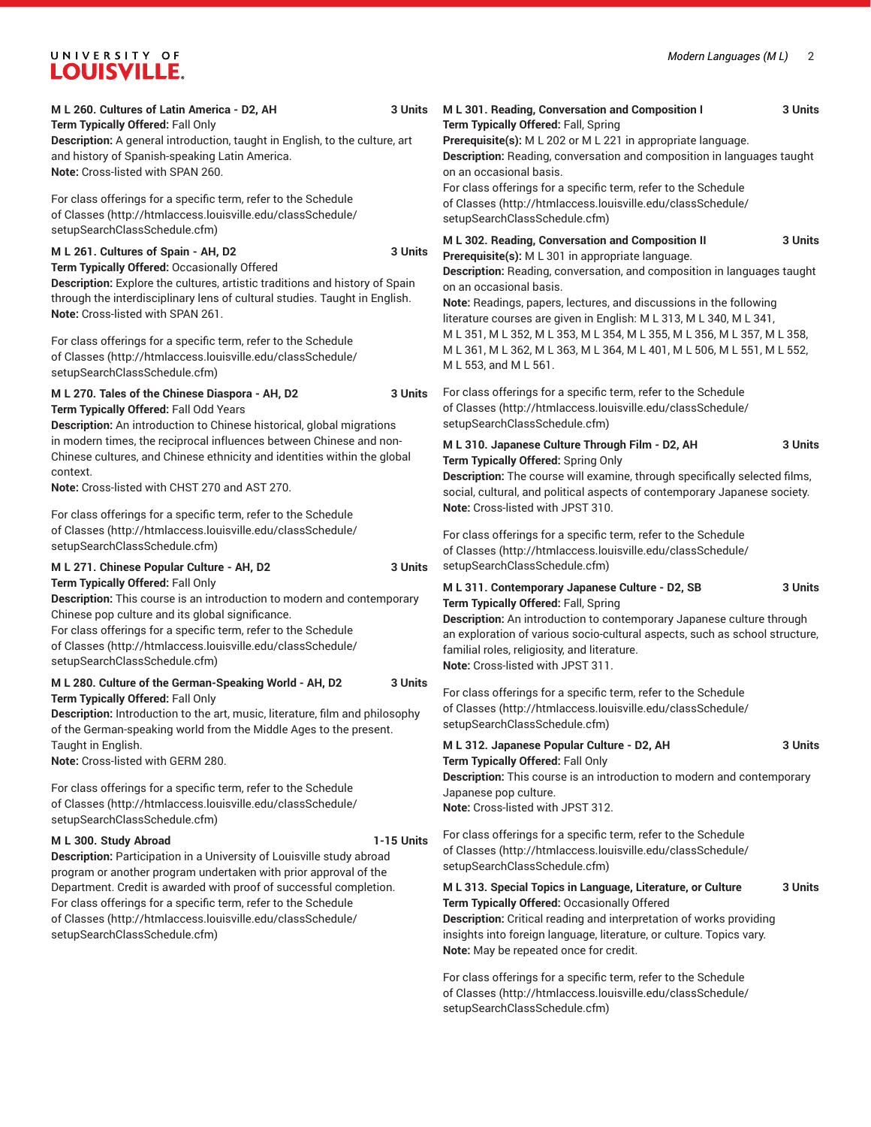# UNIVERSITY OF LOUISVILLE.

| M L 260. Cultures of Latin America - D2, AH<br>3 Units<br>Term Typically Offered: Fall Only<br>Description: A general introduction, taught in English, to the culture, art<br>and history of Spanish-speaking Latin America.<br>Note: Cross-listed with SPAN 260.                                                                                                                                                        |         | M L 301. Reading, Conversation and Composition I<br>3 Units<br>Term Typically Offered: Fall, Spring<br>Prerequisite(s): M L 202 or M L 221 in appropriate language.<br>Description: Reading, conversation and composition in languages taught<br>on an occasional basis.<br>For class offerings for a specific term, refer to the Schedule                                                                                                                                                                                                          |         |
|--------------------------------------------------------------------------------------------------------------------------------------------------------------------------------------------------------------------------------------------------------------------------------------------------------------------------------------------------------------------------------------------------------------------------|---------|-----------------------------------------------------------------------------------------------------------------------------------------------------------------------------------------------------------------------------------------------------------------------------------------------------------------------------------------------------------------------------------------------------------------------------------------------------------------------------------------------------------------------------------------------------|---------|
| For class offerings for a specific term, refer to the Schedule<br>of Classes (http://htmlaccess.louisville.edu/classSchedule/<br>setupSearchClassSchedule.cfm)                                                                                                                                                                                                                                                           |         | of Classes (http://htmlaccess.louisville.edu/classSchedule/<br>setupSearchClassSchedule.cfm)                                                                                                                                                                                                                                                                                                                                                                                                                                                        |         |
| M L 261. Cultures of Spain - AH, D2<br>Term Typically Offered: Occasionally Offered<br>Description: Explore the cultures, artistic traditions and history of Spain<br>through the interdisciplinary lens of cultural studies. Taught in English.<br>Note: Cross-listed with SPAN 261.                                                                                                                                    | 3 Units | M L 302. Reading, Conversation and Composition II<br>3 Units<br>Prerequisite(s): M L 301 in appropriate language.<br>Description: Reading, conversation, and composition in languages taught<br>on an occasional basis.<br>Note: Readings, papers, lectures, and discussions in the following<br>literature courses are given in English: M L 313, M L 340, M L 341,<br>M L 351, M L 352, M L 353, M L 354, M L 355, M L 356, M L 357, M L 358,<br>M L 361, M L 362, M L 363, M L 364, M L 401, M L 506, M L 551, M L 552,<br>M L 553, and M L 561. |         |
| For class offerings for a specific term, refer to the Schedule<br>of Classes (http://htmlaccess.louisville.edu/classSchedule/<br>setupSearchClassSchedule.cfm)                                                                                                                                                                                                                                                           |         |                                                                                                                                                                                                                                                                                                                                                                                                                                                                                                                                                     |         |
| M L 270. Tales of the Chinese Diaspora - AH, D2<br>Term Typically Offered: Fall Odd Years<br>Description: An introduction to Chinese historical, global migrations<br>in modern times, the reciprocal influences between Chinese and non-<br>Chinese cultures, and Chinese ethnicity and identities within the global<br>context.<br><b>Note:</b> Cross-listed with CHST 270 and AST 270.                                |         | For class offerings for a specific term, refer to the Schedule<br>of Classes (http://htmlaccess.louisville.edu/classSchedule/<br>setupSearchClassSchedule.cfm)                                                                                                                                                                                                                                                                                                                                                                                      |         |
|                                                                                                                                                                                                                                                                                                                                                                                                                          |         | M L 310. Japanese Culture Through Film - D2, AH<br>Term Typically Offered: Spring Only<br>Description: The course will examine, through specifically selected films,<br>social, cultural, and political aspects of contemporary Japanese society.                                                                                                                                                                                                                                                                                                   | 3 Units |
| For class offerings for a specific term, refer to the Schedule<br>of Classes (http://htmlaccess.louisville.edu/classSchedule/<br>setupSearchClassSchedule.cfm)                                                                                                                                                                                                                                                           |         | Note: Cross-listed with JPST 310.<br>For class offerings for a specific term, refer to the Schedule<br>of Classes (http://htmlaccess.louisville.edu/classSchedule/                                                                                                                                                                                                                                                                                                                                                                                  |         |
| M L 271. Chinese Popular Culture - AH, D2<br>3 Units<br>Term Typically Offered: Fall Only<br>Description: This course is an introduction to modern and contemporary<br>Chinese pop culture and its global significance.<br>For class offerings for a specific term, refer to the Schedule<br>of Classes (http://htmlaccess.louisville.edu/classSchedule/<br>setupSearchClassSchedule.cfm)                                |         | setupSearchClassSchedule.cfm)<br>3 Units<br>M L 311. Contemporary Japanese Culture - D2, SB<br>Term Typically Offered: Fall, Spring<br>Description: An introduction to contemporary Japanese culture through<br>an exploration of various socio-cultural aspects, such as school structure,<br>familial roles, religiosity, and literature.<br>Note: Cross-listed with JPST 311.                                                                                                                                                                    |         |
| M L 280. Culture of the German-Speaking World - AH, D2<br>Term Typically Offered: Fall Only<br>Description: Introduction to the art, music, literature, film and philosophy<br>of the German-speaking world from the Middle Ages to the present.<br>Taught in English.<br>Note: Cross-listed with GERM 280.                                                                                                              |         | For class offerings for a specific term, refer to the Schedule<br>of Classes (http://htmlaccess.louisville.edu/classSchedule/<br>setupSearchClassSchedule.cfm)                                                                                                                                                                                                                                                                                                                                                                                      |         |
|                                                                                                                                                                                                                                                                                                                                                                                                                          |         | M L 312. Japanese Popular Culture - D2, AH<br>3 Units<br>Term Typically Offered: Fall Only<br>Description: This course is an introduction to modern and contemporary                                                                                                                                                                                                                                                                                                                                                                                |         |
| For class offerings for a specific term, refer to the Schedule<br>of Classes (http://htmlaccess.louisville.edu/classSchedule/<br>setupSearchClassSchedule.cfm)                                                                                                                                                                                                                                                           |         | Japanese pop culture.<br>Note: Cross-listed with JPST 312.                                                                                                                                                                                                                                                                                                                                                                                                                                                                                          |         |
| 1-15 Units<br>M L 300. Study Abroad<br>Description: Participation in a University of Louisville study abroad<br>program or another program undertaken with prior approval of the<br>Department. Credit is awarded with proof of successful completion.<br>For class offerings for a specific term, refer to the Schedule<br>of Classes (http://htmlaccess.louisville.edu/classSchedule/<br>setupSearchClassSchedule.cfm) |         | For class offerings for a specific term, refer to the Schedule<br>of Classes (http://htmlaccess.louisville.edu/classSchedule/<br>setupSearchClassSchedule.cfm)                                                                                                                                                                                                                                                                                                                                                                                      |         |
|                                                                                                                                                                                                                                                                                                                                                                                                                          |         | M L 313. Special Topics in Language, Literature, or Culture<br>Term Typically Offered: Occasionally Offered<br>Description: Critical reading and interpretation of works providing<br>insights into foreign language, literature, or culture. Topics vary.<br>Note: May be repeated once for credit.                                                                                                                                                                                                                                                | 3 Units |
|                                                                                                                                                                                                                                                                                                                                                                                                                          |         | For class offerings for a specific term, refer to the Schedule<br>and the company of the control of the company of the set of the set of the set of the set of the set of the set of the set of the set of the set of the set of the set of the set of the set of the set of the set of the set                                                                                                                                                                                                                                                     |         |

[of Classes](http://htmlaccess.louisville.edu/classSchedule/setupSearchClassSchedule.cfm) ([http://htmlaccess.louisville.edu/classSchedule/](http://htmlaccess.louisville.edu/classSchedule/setupSearchClassSchedule.cfm) [setupSearchClassSchedule.cfm\)](http://htmlaccess.louisville.edu/classSchedule/setupSearchClassSchedule.cfm)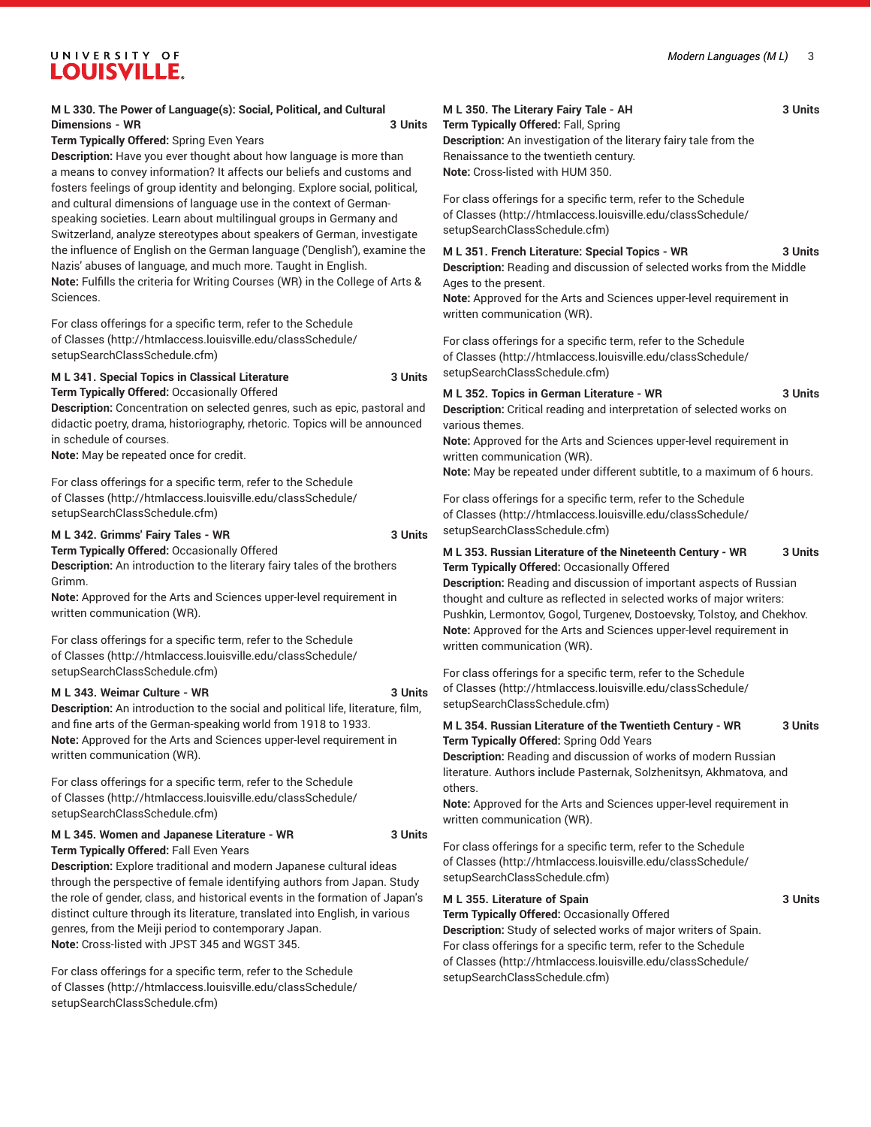# UNIVERSITY OF **LOUISVILLE.**

# **M L 330. The Power of Language(s): Social, Political, and Cultural Dimensions - WR 3 Units**

**Term Typically Offered:** Spring Even Years

**Description:** Have you ever thought about how language is more than a means to convey information? It affects our beliefs and customs and fosters feelings of group identity and belonging. Explore social, political, and cultural dimensions of language use in the context of Germanspeaking societies. Learn about multilingual groups in Germany and Switzerland, analyze stereotypes about speakers of German, investigate the influence of English on the German language ('Denglish'), examine the Nazis' abuses of language, and much more. Taught in English. **Note:** Fulfills the criteria for Writing Courses (WR) in the College of Arts & Sciences.

For class offerings for a specific term, refer to the [Schedule](http://htmlaccess.louisville.edu/classSchedule/setupSearchClassSchedule.cfm) [of Classes \(http://htmlaccess.louisville.edu/classSchedule/](http://htmlaccess.louisville.edu/classSchedule/setupSearchClassSchedule.cfm) [setupSearchClassSchedule.cfm\)](http://htmlaccess.louisville.edu/classSchedule/setupSearchClassSchedule.cfm)

# **M L 341. Special Topics in Classical Literature 3 Units Term Typically Offered:** Occasionally Offered

**Description:** Concentration on selected genres, such as epic, pastoral and didactic poetry, drama, historiography, rhetoric. Topics will be announced in schedule of courses.

**Note:** May be repeated once for credit.

For class offerings for a specific term, refer to the [Schedule](http://htmlaccess.louisville.edu/classSchedule/setupSearchClassSchedule.cfm) [of Classes \(http://htmlaccess.louisville.edu/classSchedule/](http://htmlaccess.louisville.edu/classSchedule/setupSearchClassSchedule.cfm) [setupSearchClassSchedule.cfm\)](http://htmlaccess.louisville.edu/classSchedule/setupSearchClassSchedule.cfm)

## **M L 342. Grimms' Fairy Tales - WR 3 Units**

**Term Typically Offered:** Occasionally Offered

**Description:** An introduction to the literary fairy tales of the brothers Grimm.

**Note:** Approved for the Arts and Sciences upper-level requirement in written communication (WR).

For class offerings for a specific term, refer to the [Schedule](http://htmlaccess.louisville.edu/classSchedule/setupSearchClassSchedule.cfm) [of Classes \(http://htmlaccess.louisville.edu/classSchedule/](http://htmlaccess.louisville.edu/classSchedule/setupSearchClassSchedule.cfm) [setupSearchClassSchedule.cfm\)](http://htmlaccess.louisville.edu/classSchedule/setupSearchClassSchedule.cfm)

### **M L 343. Weimar Culture - WR 3 Units**

**Description:** An introduction to the social and political life, literature, film, and fine arts of the German-speaking world from 1918 to 1933. **Note:** Approved for the Arts and Sciences upper-level requirement in written communication (WR).

For class offerings for a specific term, refer to the [Schedule](http://htmlaccess.louisville.edu/classSchedule/setupSearchClassSchedule.cfm) [of Classes \(http://htmlaccess.louisville.edu/classSchedule/](http://htmlaccess.louisville.edu/classSchedule/setupSearchClassSchedule.cfm) [setupSearchClassSchedule.cfm\)](http://htmlaccess.louisville.edu/classSchedule/setupSearchClassSchedule.cfm)

# **M L 345. Women and Japanese Literature - WR 3 Units**

**Term Typically Offered:** Fall Even Years

**Description:** Explore traditional and modern Japanese cultural ideas through the perspective of female identifying authors from Japan. Study the role of gender, class, and historical events in the formation of Japan's distinct culture through its literature, translated into English, in various genres, from the Meiji period to contemporary Japan. **Note:** Cross-listed with JPST 345 and WGST 345.

For class offerings for a specific term, refer to the [Schedule](http://htmlaccess.louisville.edu/classSchedule/setupSearchClassSchedule.cfm) [of Classes \(http://htmlaccess.louisville.edu/classSchedule/](http://htmlaccess.louisville.edu/classSchedule/setupSearchClassSchedule.cfm) [setupSearchClassSchedule.cfm\)](http://htmlaccess.louisville.edu/classSchedule/setupSearchClassSchedule.cfm)

# **M L 350. The Literary Fairy Tale - AH 3 Units**

**Term Typically Offered:** Fall, Spring **Description:** An investigation of the literary fairy tale from the Renaissance to the twentieth century. **Note:** Cross-listed with HUM 350.

For class offerings for a specific term, refer to the [Schedule](http://htmlaccess.louisville.edu/classSchedule/setupSearchClassSchedule.cfm) [of Classes](http://htmlaccess.louisville.edu/classSchedule/setupSearchClassSchedule.cfm) ([http://htmlaccess.louisville.edu/classSchedule/](http://htmlaccess.louisville.edu/classSchedule/setupSearchClassSchedule.cfm) [setupSearchClassSchedule.cfm\)](http://htmlaccess.louisville.edu/classSchedule/setupSearchClassSchedule.cfm)

# **M L 351. French Literature: Special Topics - WR 3 Units**

**Description:** Reading and discussion of selected works from the Middle Ages to the present.

**Note:** Approved for the Arts and Sciences upper-level requirement in written communication (WR).

For class offerings for a specific term, refer to the [Schedule](http://htmlaccess.louisville.edu/classSchedule/setupSearchClassSchedule.cfm) [of Classes](http://htmlaccess.louisville.edu/classSchedule/setupSearchClassSchedule.cfm) ([http://htmlaccess.louisville.edu/classSchedule/](http://htmlaccess.louisville.edu/classSchedule/setupSearchClassSchedule.cfm) [setupSearchClassSchedule.cfm\)](http://htmlaccess.louisville.edu/classSchedule/setupSearchClassSchedule.cfm)

## **M L 352. Topics in German Literature - WR 3 Units**

**Description:** Critical reading and interpretation of selected works on various themes.

**Note:** Approved for the Arts and Sciences upper-level requirement in written communication (WR).

**Note:** May be repeated under different subtitle, to a maximum of 6 hours.

For class offerings for a specific term, refer to the [Schedule](http://htmlaccess.louisville.edu/classSchedule/setupSearchClassSchedule.cfm) [of Classes](http://htmlaccess.louisville.edu/classSchedule/setupSearchClassSchedule.cfm) ([http://htmlaccess.louisville.edu/classSchedule/](http://htmlaccess.louisville.edu/classSchedule/setupSearchClassSchedule.cfm) [setupSearchClassSchedule.cfm\)](http://htmlaccess.louisville.edu/classSchedule/setupSearchClassSchedule.cfm)

| M L 353. Russian Literature of the Nineteenth Century - WR | 3 Units |
|------------------------------------------------------------|---------|
| Term Typically Offered: Occasionally Offered               |         |

**Description:** Reading and discussion of important aspects of Russian thought and culture as reflected in selected works of major writers: Pushkin, Lermontov, Gogol, Turgenev, Dostoevsky, Tolstoy, and Chekhov. **Note:** Approved for the Arts and Sciences upper-level requirement in written communication (WR).

For class offerings for a specific term, refer to the [Schedule](http://htmlaccess.louisville.edu/classSchedule/setupSearchClassSchedule.cfm) [of Classes](http://htmlaccess.louisville.edu/classSchedule/setupSearchClassSchedule.cfm) ([http://htmlaccess.louisville.edu/classSchedule/](http://htmlaccess.louisville.edu/classSchedule/setupSearchClassSchedule.cfm) [setupSearchClassSchedule.cfm\)](http://htmlaccess.louisville.edu/classSchedule/setupSearchClassSchedule.cfm)

**M L 354. Russian Literature of the Twentieth Century - WR 3 Units Term Typically Offered:** Spring Odd Years

**Description:** Reading and discussion of works of modern Russian literature. Authors include Pasternak, Solzhenitsyn, Akhmatova, and others.

**Note:** Approved for the Arts and Sciences upper-level requirement in written communication (WR).

For class offerings for a specific term, refer to the [Schedule](http://htmlaccess.louisville.edu/classSchedule/setupSearchClassSchedule.cfm) [of Classes](http://htmlaccess.louisville.edu/classSchedule/setupSearchClassSchedule.cfm) ([http://htmlaccess.louisville.edu/classSchedule/](http://htmlaccess.louisville.edu/classSchedule/setupSearchClassSchedule.cfm) [setupSearchClassSchedule.cfm\)](http://htmlaccess.louisville.edu/classSchedule/setupSearchClassSchedule.cfm)

# **M L 355. Literature of Spain 3 Units**

**Term Typically Offered:** Occasionally Offered

**Description:** Study of selected works of major writers of Spain. For class offerings for a specific term, refer to the [Schedule](http://htmlaccess.louisville.edu/classSchedule/setupSearchClassSchedule.cfm) [of Classes](http://htmlaccess.louisville.edu/classSchedule/setupSearchClassSchedule.cfm) ([http://htmlaccess.louisville.edu/classSchedule/](http://htmlaccess.louisville.edu/classSchedule/setupSearchClassSchedule.cfm) [setupSearchClassSchedule.cfm\)](http://htmlaccess.louisville.edu/classSchedule/setupSearchClassSchedule.cfm)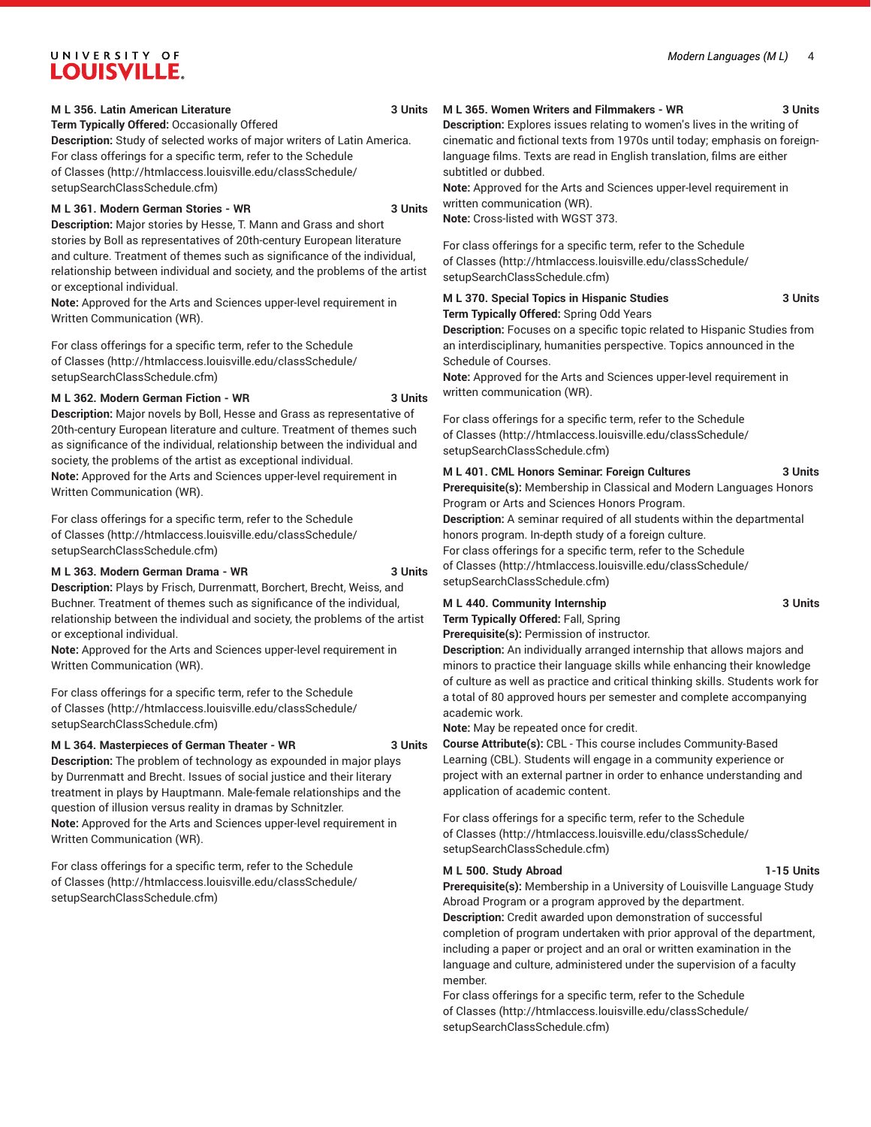# UNIVERSITY OF **LOUISVILLE.**

### **M L 356. Latin American Literature 3 Units**

**Term Typically Offered:** Occasionally Offered

**Description:** Study of selected works of major writers of Latin America. For class offerings for a specific term, refer to the [Schedule](http://htmlaccess.louisville.edu/classSchedule/setupSearchClassSchedule.cfm) [of Classes \(http://htmlaccess.louisville.edu/classSchedule/](http://htmlaccess.louisville.edu/classSchedule/setupSearchClassSchedule.cfm) [setupSearchClassSchedule.cfm\)](http://htmlaccess.louisville.edu/classSchedule/setupSearchClassSchedule.cfm)

# **M L 361. Modern German Stories - WR 3 Units**

**Description:** Major stories by Hesse, T. Mann and Grass and short stories by Boll as representatives of 20th-century European literature and culture. Treatment of themes such as significance of the individual, relationship between individual and society, and the problems of the artist or exceptional individual.

**Note:** Approved for the Arts and Sciences upper-level requirement in Written Communication (WR).

For class offerings for a specific term, refer to the [Schedule](http://htmlaccess.louisville.edu/classSchedule/setupSearchClassSchedule.cfm) [of Classes \(http://htmlaccess.louisville.edu/classSchedule/](http://htmlaccess.louisville.edu/classSchedule/setupSearchClassSchedule.cfm) [setupSearchClassSchedule.cfm\)](http://htmlaccess.louisville.edu/classSchedule/setupSearchClassSchedule.cfm)

### **M L 362. Modern German Fiction - WR 3 Units**

**Description:** Major novels by Boll, Hesse and Grass as representative of 20th-century European literature and culture. Treatment of themes such as significance of the individual, relationship between the individual and society, the problems of the artist as exceptional individual. **Note:** Approved for the Arts and Sciences upper-level requirement in Written Communication (WR).

For class offerings for a specific term, refer to the [Schedule](http://htmlaccess.louisville.edu/classSchedule/setupSearchClassSchedule.cfm) [of Classes \(http://htmlaccess.louisville.edu/classSchedule/](http://htmlaccess.louisville.edu/classSchedule/setupSearchClassSchedule.cfm) [setupSearchClassSchedule.cfm\)](http://htmlaccess.louisville.edu/classSchedule/setupSearchClassSchedule.cfm)

# **M L 363. Modern German Drama - WR 3 Units**

**Description:** Plays by Frisch, Durrenmatt, Borchert, Brecht, Weiss, and Buchner. Treatment of themes such as significance of the individual, relationship between the individual and society, the problems of the artist or exceptional individual.

**Note:** Approved for the Arts and Sciences upper-level requirement in Written Communication (WR).

For class offerings for a specific term, refer to the [Schedule](http://htmlaccess.louisville.edu/classSchedule/setupSearchClassSchedule.cfm) [of Classes \(http://htmlaccess.louisville.edu/classSchedule/](http://htmlaccess.louisville.edu/classSchedule/setupSearchClassSchedule.cfm) [setupSearchClassSchedule.cfm\)](http://htmlaccess.louisville.edu/classSchedule/setupSearchClassSchedule.cfm)

# **M L 364. Masterpieces of German Theater - WR 3 Units**

**Description:** The problem of technology as expounded in major plays by Durrenmatt and Brecht. Issues of social justice and their literary treatment in plays by Hauptmann. Male-female relationships and the question of illusion versus reality in dramas by Schnitzler. **Note:** Approved for the Arts and Sciences upper-level requirement in Written Communication (WR).

For class offerings for a specific term, refer to the [Schedule](http://htmlaccess.louisville.edu/classSchedule/setupSearchClassSchedule.cfm) [of Classes \(http://htmlaccess.louisville.edu/classSchedule/](http://htmlaccess.louisville.edu/classSchedule/setupSearchClassSchedule.cfm) [setupSearchClassSchedule.cfm\)](http://htmlaccess.louisville.edu/classSchedule/setupSearchClassSchedule.cfm)

### **M L 365. Women Writers and Filmmakers - WR 3 Units**

**Description:** Explores issues relating to women's lives in the writing of cinematic and fictional texts from 1970s until today; emphasis on foreignlanguage films. Texts are read in English translation, films are either subtitled or dubbed.

**Note:** Approved for the Arts and Sciences upper-level requirement in written communication (WR).

**Note:** Cross-listed with WGST 373.

For class offerings for a specific term, refer to the [Schedule](http://htmlaccess.louisville.edu/classSchedule/setupSearchClassSchedule.cfm) [of Classes](http://htmlaccess.louisville.edu/classSchedule/setupSearchClassSchedule.cfm) ([http://htmlaccess.louisville.edu/classSchedule/](http://htmlaccess.louisville.edu/classSchedule/setupSearchClassSchedule.cfm) [setupSearchClassSchedule.cfm\)](http://htmlaccess.louisville.edu/classSchedule/setupSearchClassSchedule.cfm)

# **M L 370. Special Topics in Hispanic Studies 3 Units Term Typically Offered:** Spring Odd Years

**Description:** Focuses on a specific topic related to Hispanic Studies from an interdisciplinary, humanities perspective. Topics announced in the Schedule of Courses.

**Note:** Approved for the Arts and Sciences upper-level requirement in written communication (WR).

For class offerings for a specific term, refer to the [Schedule](http://htmlaccess.louisville.edu/classSchedule/setupSearchClassSchedule.cfm) [of Classes](http://htmlaccess.louisville.edu/classSchedule/setupSearchClassSchedule.cfm) ([http://htmlaccess.louisville.edu/classSchedule/](http://htmlaccess.louisville.edu/classSchedule/setupSearchClassSchedule.cfm) [setupSearchClassSchedule.cfm\)](http://htmlaccess.louisville.edu/classSchedule/setupSearchClassSchedule.cfm)

### **M L 401. CML Honors Seminar: Foreign Cultures 3 Units**

**Prerequisite(s):** Membership in Classical and Modern Languages Honors Program or Arts and Sciences Honors Program.

**Description:** A seminar required of all students within the departmental honors program. In-depth study of a foreign culture.

For class offerings for a specific term, refer to the [Schedule](http://htmlaccess.louisville.edu/classSchedule/setupSearchClassSchedule.cfm) [of Classes](http://htmlaccess.louisville.edu/classSchedule/setupSearchClassSchedule.cfm) ([http://htmlaccess.louisville.edu/classSchedule/](http://htmlaccess.louisville.edu/classSchedule/setupSearchClassSchedule.cfm) [setupSearchClassSchedule.cfm\)](http://htmlaccess.louisville.edu/classSchedule/setupSearchClassSchedule.cfm)

# **M L 440. Community Internship 3 Units Term Typically Offered:** Fall, Spring

**Prerequisite(s):** Permission of instructor.

**Description:** An individually arranged internship that allows majors and minors to practice their language skills while enhancing their knowledge of culture as well as practice and critical thinking skills. Students work for a total of 80 approved hours per semester and complete accompanying academic work.

**Note:** May be repeated once for credit.

**Course Attribute(s):** CBL - This course includes Community-Based Learning (CBL). Students will engage in a community experience or project with an external partner in order to enhance understanding and application of academic content.

For class offerings for a specific term, refer to the [Schedule](http://htmlaccess.louisville.edu/classSchedule/setupSearchClassSchedule.cfm) [of Classes](http://htmlaccess.louisville.edu/classSchedule/setupSearchClassSchedule.cfm) ([http://htmlaccess.louisville.edu/classSchedule/](http://htmlaccess.louisville.edu/classSchedule/setupSearchClassSchedule.cfm) [setupSearchClassSchedule.cfm\)](http://htmlaccess.louisville.edu/classSchedule/setupSearchClassSchedule.cfm)

# **M L 500. Study Abroad 1-15 Units**

**Prerequisite(s):** Membership in a University of Louisville Language Study Abroad Program or a program approved by the department. **Description:** Credit awarded upon demonstration of successful completion of program undertaken with prior approval of the department, including a paper or project and an oral or written examination in the language and culture, administered under the supervision of a faculty member.

For class offerings for a specific term, refer to the [Schedule](http://htmlaccess.louisville.edu/classSchedule/setupSearchClassSchedule.cfm) [of Classes](http://htmlaccess.louisville.edu/classSchedule/setupSearchClassSchedule.cfm) ([http://htmlaccess.louisville.edu/classSchedule/](http://htmlaccess.louisville.edu/classSchedule/setupSearchClassSchedule.cfm) [setupSearchClassSchedule.cfm\)](http://htmlaccess.louisville.edu/classSchedule/setupSearchClassSchedule.cfm)